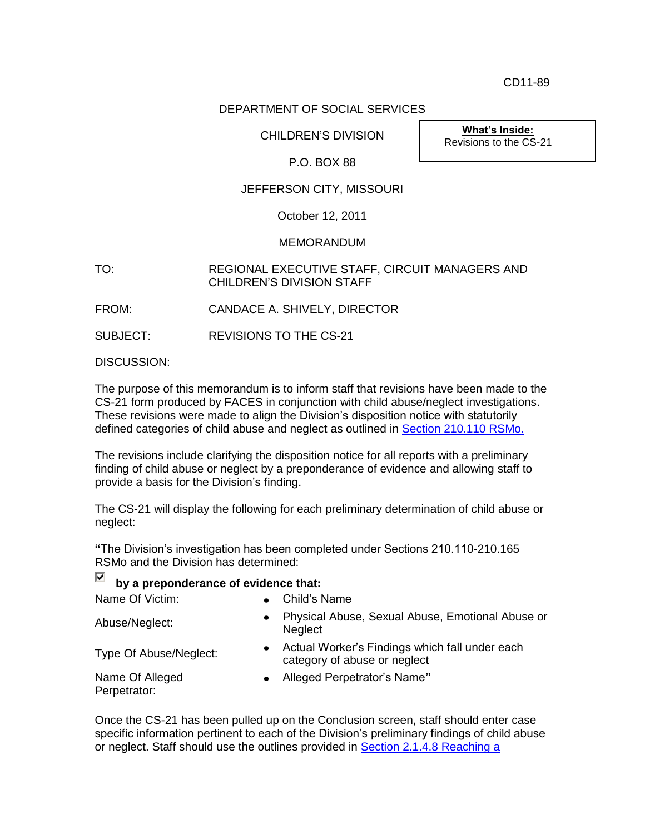CD11-89

## DEPARTMENT OF SOCIAL SERVICES

CHILDREN'S DIVISION

**What's Inside:** Revisions to the CS-21

## P.O. BOX 88

# JEFFERSON CITY, MISSOURI

October 12, 2011

### **MEMORANDUM**

TO: REGIONAL EXECUTIVE STAFF, CIRCUIT MANAGERS AND CHILDREN'S DIVISION STAFF

FROM: CANDACE A. SHIVELY, DIRECTOR

SUBJECT: REVISIONS TO THE CS-21

DISCUSSION:

The purpose of this memorandum is to inform staff that revisions have been made to the CS-21 form produced by FACES in conjunction with child abuse/neglect investigations. These revisions were made to align the Division's disposition notice with statutorily defined categories of child abuse and neglect as outlined in **Section 210.110 RSMo.** 

The revisions include clarifying the disposition notice for all reports with a preliminary finding of child abuse or neglect by a preponderance of evidence and allowing staff to provide a basis for the Division's finding.

The CS-21 will display the following for each preliminary determination of child abuse or neglect:

**"**The Division's investigation has been completed under Sections 210.110-210.165 RSMo and the Division has determined:

#### ⊽ **by a preponderance of evidence that:**

Name Of Victim:  $\bullet$  Child's Name

| Abuse/Neglect:                  | Physical Abuse, Sexual Abuse, Emotional Abuse or<br><b>Neglect</b>             |
|---------------------------------|--------------------------------------------------------------------------------|
| Type Of Abuse/Neglect:          | Actual Worker's Findings which fall under each<br>category of abuse or neglect |
| Name Of Alleged<br>Perpetrator: | Alleged Perpetrator's Name"                                                    |

Once the CS-21 has been pulled up on the Conclusion screen, staff should enter case specific information pertinent to each of the Division's preliminary findings of child abuse or neglect. Staff should use the outlines provided in [Section 2.1.4.8 Reaching a](http://dss.mo.gov/cd/info/cwmanual/section2/ch4/sec2ch4sub1_8.htm)